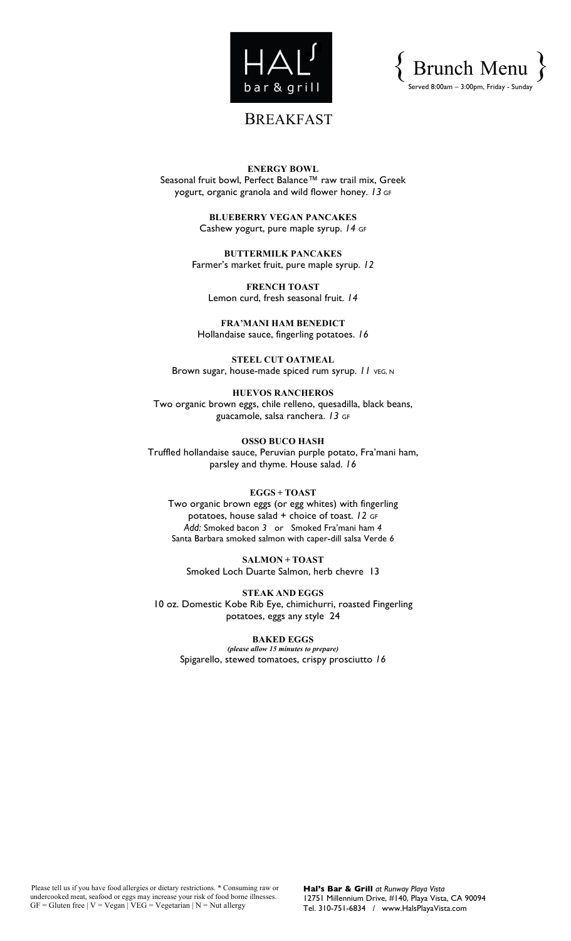



# BREAKFAST

**ENERGY BOWL** Seasonal fruit bowl, Perfect Balance™ raw trail mix, Greek yogurt, organic granola and wild flower honey. *13* GF

> **BLUEBERRY VEGAN PANCAKES** Cashew yogurt, pure maple syrup. *14* GF

**BUTTERMILK PANCAKES** Farmer's market fruit, pure maple syrup. *12*

**FRENCH TOAST** Lemon curd, fresh seasonal fruit. *14*

**FRA'MANI HAM BENEDICT** Hollandaise sauce, fingerling potatoes. *16*

**STEEL CUT OATMEAL** Brown sugar, house-made spiced rum syrup. *11* vEG, N

**HUEVOS RANCHEROS** Two organic brown eggs, chile relleno, quesadilla, black beans, guacamole, salsa ranchera. *13* GF

**OSSO BUCO HASH** Truffled hollandaise sauce, Peruvian purple potato, Fra'mani ham, parsley and thyme. House salad. *16*

#### **EGGS + TOAST**

Two organic brown eggs (or egg whites) with fingerling potatoes, house salad + choice of toast. *12* GF *Add:* Smoked bacon *3* or Smoked Fra'mani ham *4* Santa Barbara smoked salmon with caper-dill salsa Verde *6*

**SALMON + TOAST** Smoked Loch Duarte Salmon, herb chevre 13

**STEAK AND EGGS** 10 oz. Domestic Kobe Rib Eye, chimichurri, roasted Fingerling potatoes, eggs any style 24

**BAKED EGGS** *(please allow 15 minutes to prepare)* Spigarello, stewed tomatoes, crispy prosciutto *16*